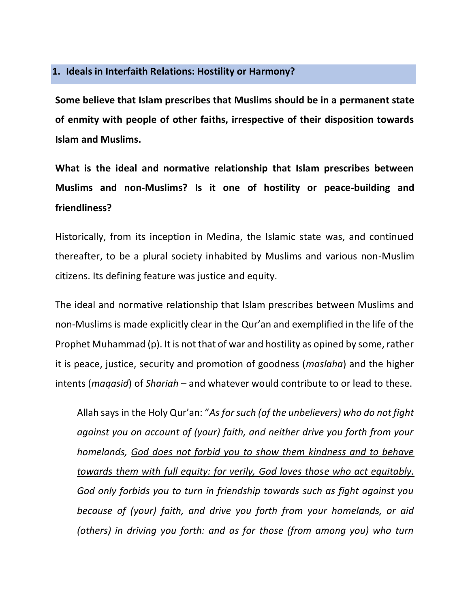## **1. Ideals in Interfaith Relations: Hostility or Harmony?**

**Some believe that Islam prescribes that Muslims should be in a permanent state of enmity with people of other faiths, irrespective of their disposition towards Islam and Muslims.**

**What is the ideal and normative relationship that Islam prescribes between Muslims and non-Muslims? Is it one of hostility or peace-building and friendliness?**

Historically, from its inception in Medina, the Islamic state was, and continued thereafter, to be a plural society inhabited by Muslims and various non-Muslim citizens. Its defining feature was justice and equity.

The ideal and normative relationship that Islam prescribes between Muslims and non-Muslims is made explicitly clear in the Qur'an and exemplified in the life of the Prophet Muhammad (p). It is not that of war and hostility as opined by some, rather it is peace, justice, security and promotion of goodness (*maslaha*) and the higher intents (*maqasid*) of *Shariah* – and whatever would contribute to or lead to these.

Allah says in the Holy Qur'an: "*As for such (of the unbelievers) who do not fight against you on account of (your) faith, and neither drive you forth from your homelands, God does not forbid you to show them kindness and to behave towards them with full equity: for verily, God loves those who act equitably. God only forbids you to turn in friendship towards such as fight against you because of (your) faith, and drive you forth from your homelands, or aid (others) in driving you forth: and as for those (from among you) who turn*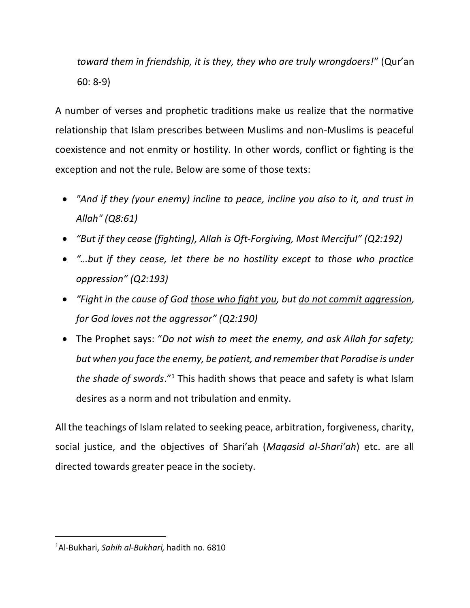*toward them in friendship, it is they, they who are truly wrongdoers!*" (Qur'an 60: 8-9)

A number of verses and prophetic traditions make us realize that the normative relationship that Islam prescribes between Muslims and non-Muslims is peaceful coexistence and not enmity or hostility. In other words, conflict or fighting is the exception and not the rule. Below are some of those texts:

- *"And if they (your enemy) incline to peace, incline you also to it, and trust in Allah" (Q8:61)*
- *"But if they cease (fighting), Allah is Oft-Forgiving, Most Merciful" (Q2:192)*
- *"…but if they cease, let there be no hostility except to those who practice oppression" (Q2:193)*
- *"Fight in the cause of God those who fight you, but do not commit aggression, for God loves not the aggressor" (Q2:190)*
- The Prophet says: "*Do not wish to meet the enemy, and ask Allah for safety; but when you face the enemy, be patient, and remember that Paradise is under*  the shade of swords.<sup>"1</sup> This hadith shows that peace and safety is what Islam desires as a norm and not tribulation and enmity.

All the teachings of Islam related to seeking peace, arbitration, forgiveness, charity, social justice, and the objectives of Shari'ah (*Maqasid al-Shari'ah*) etc. are all directed towards greater peace in the society.

l

<sup>1</sup>Al-Bukhari, *Sahih al-Bukhari,* hadith no. 6810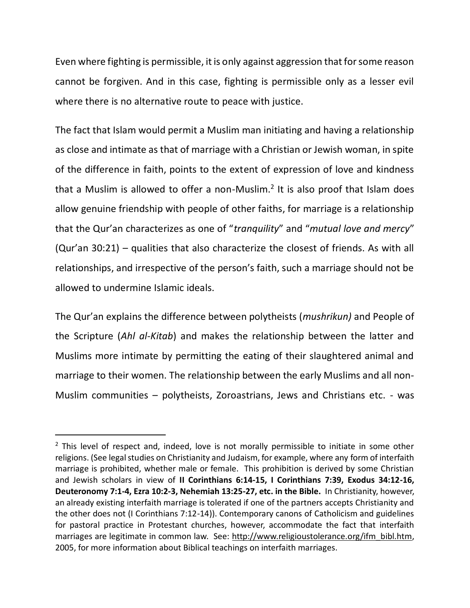Even where fighting is permissible, it is only against aggression that for some reason cannot be forgiven. And in this case, fighting is permissible only as a lesser evil where there is no alternative route to peace with justice.

The fact that Islam would permit a Muslim man initiating and having a relationship as close and intimate as that of marriage with a Christian or Jewish woman, in spite of the difference in faith, points to the extent of expression of love and kindness that a Muslim is allowed to offer a non-Muslim.<sup>2</sup> It is also proof that Islam does allow genuine friendship with people of other faiths, for marriage is a relationship that the Qur'an characterizes as one of "*tranquility*" and "*mutual love and mercy*" (Qur'an 30:21) – qualities that also characterize the closest of friends. As with all relationships, and irrespective of the person's faith, such a marriage should not be allowed to undermine Islamic ideals.

The Qur'an explains the difference between polytheists (*mushrikun)* and People of the Scripture (*Ahl al-Kitab*) and makes the relationship between the latter and Muslims more intimate by permitting the eating of their slaughtered animal and marriage to their women. The relationship between the early Muslims and all non-Muslim communities – polytheists, Zoroastrians, Jews and Christians etc. - was

l

 $2$  This level of respect and, indeed, love is not morally permissible to initiate in some other religions. (See legal studies on Christianity and Judaism, for example, where any form of interfaith marriage is prohibited, whether male or female. This prohibition is derived by some Christian and Jewish scholars in view of **II Corinthians 6:14-15, I Corinthians 7:39, Exodus 34:12-16, Deuteronomy 7:1-4, Ezra 10:2-3, Nehemiah 13:25-27, etc. in the Bible.** In Christianity, however, an already existing interfaith marriage is tolerated if one of the partners accepts Christianity and the other does not (I Corinthians 7:12-14)). Contemporary canons of Catholicism and guidelines for pastoral practice in Protestant churches, however, accommodate the fact that interfaith marriages are legitimate in common law. See: [http://www.religioustolerance.org/ifm\\_bibl.htm,](http://www.religioustolerance.org/ifm_bibl.htm) 2005, for more information about Biblical teachings on interfaith marriages.